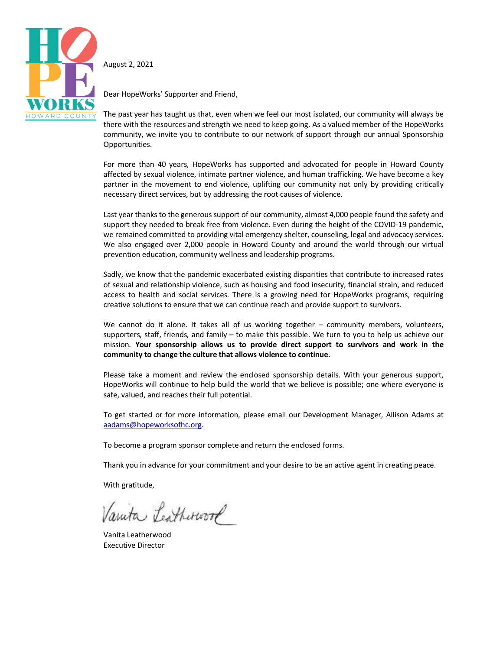

August 2, 2021

Dear HopeWorks' Supporter and Friend,

The past year has taught us that, even when we feel our most isolated, our community will always be there with the resources and strength we need to keep going. As a valued member of the HopeWorks community, we invite you to contribute to our network of support through our annual Sponsorship Opportunities.

For more than 40 years, HopeWorks has supported and advocated for people in Howard County affected by sexual violence, intimate partner violence, and human trafficking. We have become a key partner in the movement to end violence, uplifting our community not only by providing critically necessary direct services, but by addressing the root causes of violence.

Last year thanks to the generous support of our community, almost 4,000 people found the safety and support they needed to break free from violence. Even during the height of the COVID-19 pandemic, we remained committed to providing vital emergency shelter, counseling, legal and advocacy services. We also engaged over 2,000 people in Howard County and around the world through our virtual prevention education, community wellness and leadership programs.

Sadly, we know that the pandemic exacerbated existing disparities that contribute to increased rates of sexual and relationship violence, such as housing and food insecurity, financial strain, and reduced access to health and social services. There is a growing need for HopeWorks programs, requiring creative solutions to ensure that we can continue reach and provide support to survivors.

We cannot do it alone. It takes all of us working together - community members, volunteers, supporters, staff, friends, and family – to make this possible. We turn to you to help us achieve our mission. **Your sponsorship allows us to provide direct support to survivors and work in the community to change the culture that allows violence to continue.**

Please take a moment and review the enclosed sponsorship details. With your generous support, HopeWorks will continue to help build the world that we believe is possible; one where everyone is safe, valued, and reaches their full potential.

To get started or for more information, please email our Development Manager, Allison Adams at [aadams@hopeworksofhc.org.](mailto:aadams@hopeworksofhc.org)

To become a program sponsor complete and return the enclosed forms.

Thank you in advance for your commitment and your desire to be an active agent in creating peace.

With gratitude,

Vanita Leatherwork

Vanita Leatherwood Executive Director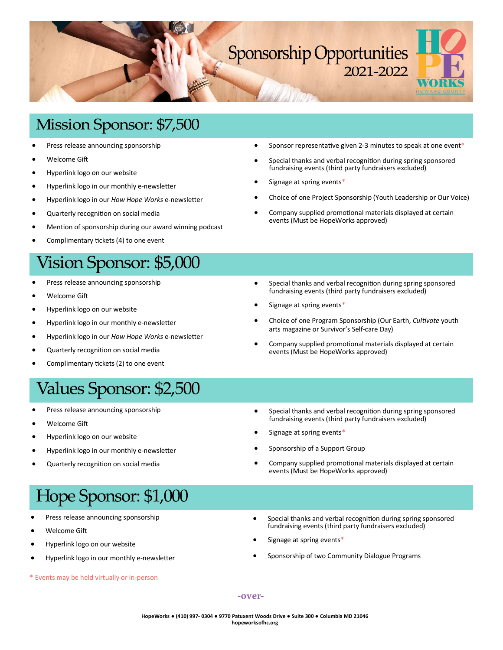

## Mission Sponsor: \$7,500

- Press release announcing sponsorship
- Welcome Gift
- Hyperlink logo on our website
- Hyperlink logo in our monthly e-newsletter
- Hyperlink logo in our *How Hope Works* e-newsletter
- Quarterly recognition on social media
- Mention of sponsorship during our award winning podcast
- Complimentary tickets (4) to one event

## Vision Sponsor: \$5,000

- Press release announcing sponsorship
- Welcome Gift
- Hyperlink logo on our website
- Hyperlink logo in our monthly e-newsletter
- Hyperlink logo in our *How Hope Works* e-newsletter
- Quarterly recognition on social media
- Complimentary tickets (2) to one event

# Values Sponsor: \$2,500

- Press release announcing sponsorship
- Welcome Gift
- Hyperlink logo on our website
- Hyperlink logo in our monthly e-newsletter
- Quarterly recognition on social media

## • Sponsor representative given 2-3 minutes to speak at one event\*

- Special thanks and verbal recognition during spring sponsored fundraising events (third party fundraisers excluded)
- Signage at spring events\*
- Choice of one Project Sponsorship (Youth Leadership or Our Voice)
- Company supplied promotional materials displayed at certain events (Must be HopeWorks approved)
- Special thanks and verbal recognition during spring sponsored fundraising events (third party fundraisers excluded)
- Signage at spring events\*
- Choice of one Program Sponsorship (Our Earth, *Cultivate* youth arts magazine or Survivor's Self-care Day)
- Company supplied promotional materials displayed at certain events (Must be HopeWorks approved)
- Special thanks and verbal recognition during spring sponsored fundraising events (third party fundraisers excluded)
- Signage at spring events\*
- Sponsorship of a Support Group
- Company supplied promotional materials displayed at certain events (Must be HopeWorks approved)

# Hope Sponsor: \$1,000

- Press release announcing sponsorship
- Welcome Gift
- Hyperlink logo on our website
- Hyperlink logo in our monthly e-newsletter
- \* Events may be held virtually or in-person
- Special thanks and verbal recognition during spring sponsored fundraising events (third party fundraisers excluded)
- Signage at spring events\*
- Sponsorship of two Community Dialogue Programs

**-over-**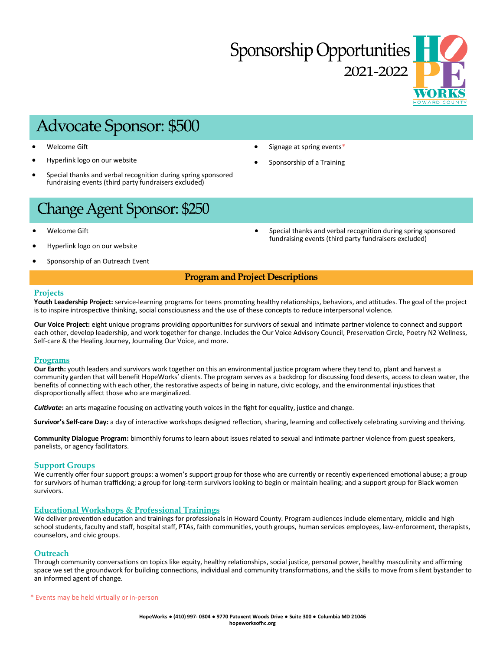# **Sponsorship Opportunities** 2021-2022

# **Advocate Sponsor: \$500**

- Welcome Gift
- Hyperlink logo on our website
- Special thanks and verbal recognition during spring sponsored fundraising events (third party fundraisers excluded)
- Signage at spring events\*
- Sponsorship of a Training

# Change Agent Sponsor: \$250

- Welcome Gift
- Hyperlink logo on our website
- Sponsorship of an Outreach Event

• Special thanks and verbal recognition during spring sponsored fundraising events (third party fundraisers excluded)

## **Program and Project Descriptions**

## **Projects**

**Youth Leadership Project:** service-learning programs for teens promoting healthy relationships, behaviors, and attitudes. The goal of the project is to inspire introspective thinking, social consciousness and the use of these concepts to reduce interpersonal violence.

**Our Voice Project:** eight unique programs providing opportunities for survivors of sexual and intimate partner violence to connect and support each other, develop leadership, and work together for change. Includes the Our Voice Advisory Council, Preservation Circle, Poetry N2 Wellness, Self-care & the Healing Journey, Journaling Our Voice, and more.

## **Programs**

**Our Earth:** youth leaders and survivors work together on this an environmental justice program where they tend to, plant and harvest a community garden that will benefit HopeWorks' clients. The program serves as a backdrop for discussing food deserts, access to clean water, the benefits of connecting with each other, the restorative aspects of being in nature, civic ecology, and the environmental injustices that disproportionally affect those who are marginalized.

*Cultivate***:** an arts magazine focusing on activating youth voices in the fight for equality, justice and change.

**Survivor's Self-care Day:** a day of interactive workshops designed reflection, sharing, learning and collectively celebrating surviving and thriving.

**Community Dialogue Program:** bimonthly forums to learn about issues related to sexual and intimate partner violence from guest speakers, panelists, or agency facilitators.

## **Support Groups**

We currently offer four support groups: a women's support group for those who are currently or recently experienced emotional abuse; a group for survivors of human trafficking; a group for long-term survivors looking to begin or maintain healing; and a support group for Black women survivors.

## **Educational Workshops & Professional Trainings**

We deliver prevention education and trainings for professionals in Howard County. Program audiences include elementary, middle and high school students, faculty and staff, hospital staff, PTAs, faith communities, youth groups, human services employees, law-enforcement, therapists, counselors, and civic groups.

## **Outreach**

Through community conversations on topics like equity, healthy relationships, social justice, personal power, healthy masculinity and affirming space we set the groundwork for building connections, individual and community transformations, and the skills to move from silent bystander to an informed agent of change.

\* Events may be held virtually or in-person